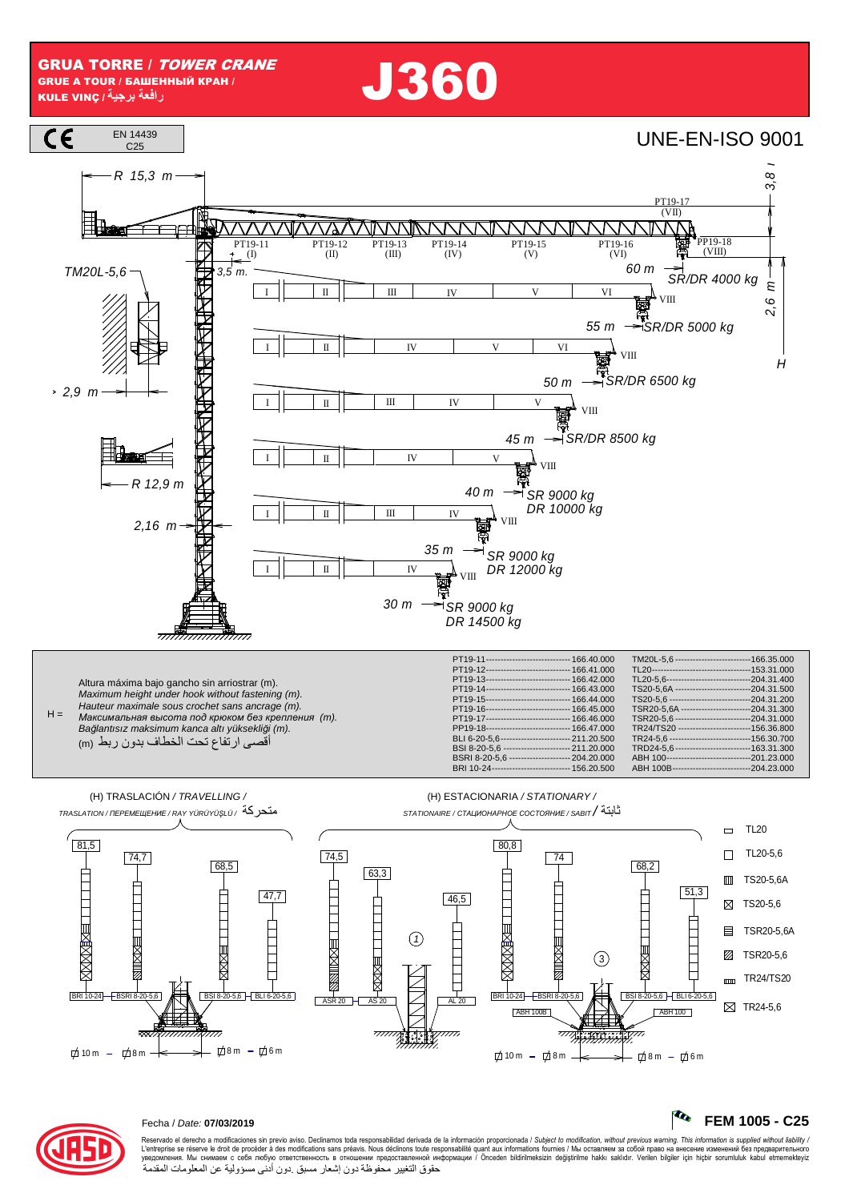**J360** 





## Fecha / Date: 07/03/2019

Reservado el derecho a modificaciones sin previo aviso. Declinamos toda responsabilidad derivada de la información proporcionada / Subject to modification, without previous warning. This information is supplied without li حقوق التغيير محفوظة دون إشعار مسبق دون أدنى مسؤولية عن المعلومات المقدمة

R

FEM 1005 - C25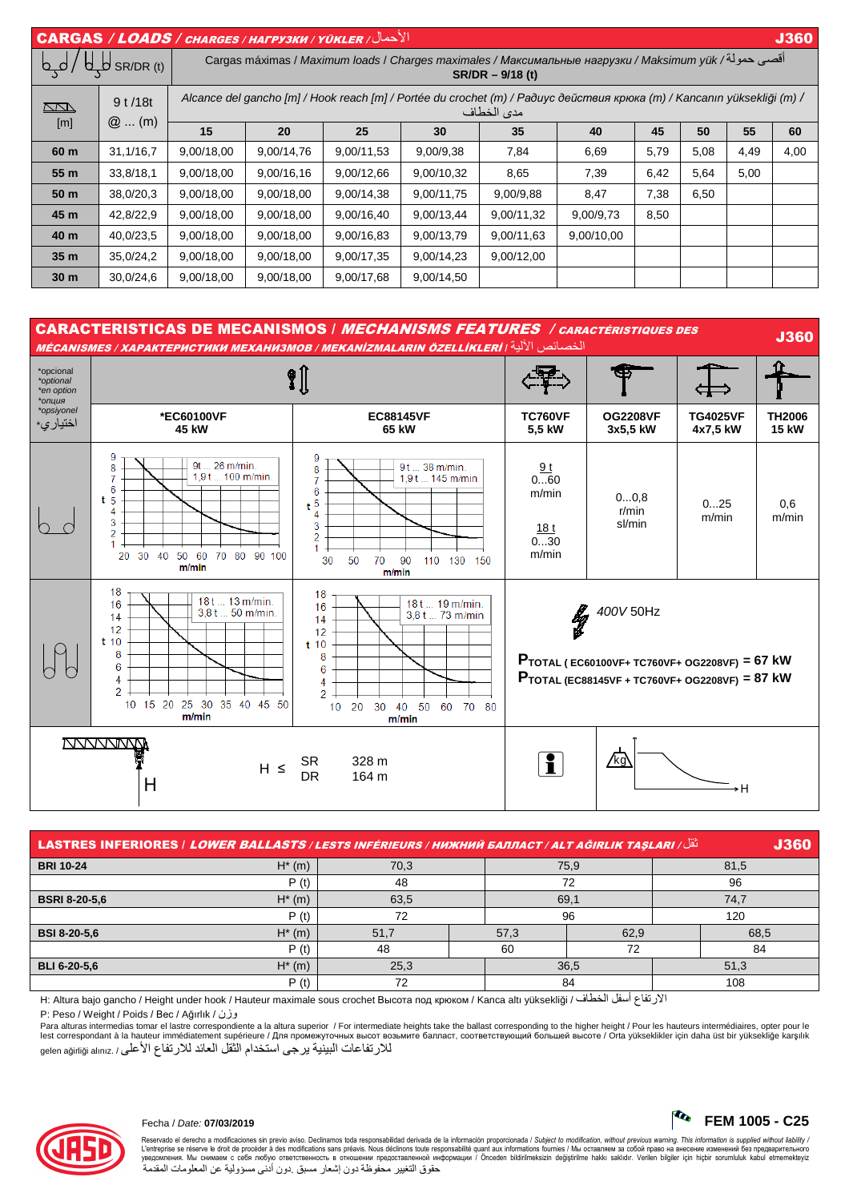| $  \overline{ \textsf{CARGAS} } / \textsf{\textit{LOADS} } / \textsf{\textit{chances} } / \textsf{\textit{HAPY3KM} } / \textsf{\textit{VÜKLER} } /  $ |                   |                                                                                                                                       |            |            |            |            |            |      |      |      | <b>J360</b> |
|-------------------------------------------------------------------------------------------------------------------------------------------------------|-------------------|---------------------------------------------------------------------------------------------------------------------------------------|------------|------------|------------|------------|------------|------|------|------|-------------|
| A <sub>P</sub><br>SR/DR (t)                                                                                                                           |                   | أقصى حمولة/ Cargas máximas / Maximum loads / Charges maximales / Максимальные нагрузки / Maksimum yük<br>$SR/DR - 9/18$ (t)           |            |            |            |            |            |      |      |      |             |
| <u>kana</u><br>[m]                                                                                                                                    | 9t/18t<br>$@$ (m) | Alcance del gancho [m] / Hook reach [m] / Portée du crochet (m) / Paðuyc действия крюка (m) / Kancanın yüksekliği (m) /<br>مدى الخطاف |            |            |            |            |            |      |      |      |             |
|                                                                                                                                                       |                   | 15                                                                                                                                    | 20         | 25         | 30         | 35         | 40         | 45   | 50   | 55   | 60          |
| 60 m                                                                                                                                                  | 31,1/16,7         | 9,00/18,00                                                                                                                            | 9,00/14,76 | 9,00/11,53 | 9,00/9,38  | 7,84       | 6,69       | 5,79 | 5,08 | 4,49 | 4,00        |
| 55 m                                                                                                                                                  | 33,8/18,1         | 9,00/18,00                                                                                                                            | 9,00/16,16 | 9,00/12,66 | 9.00/10,32 | 8,65       | 7,39       | 6,42 | 5,64 | 5,00 |             |
| 50 m                                                                                                                                                  | 38,0/20,3         | 9,00/18,00                                                                                                                            | 9,00/18,00 | 9,00/14,38 | 9,00/11,75 | 9,00/9,88  | 8,47       | 7,38 | 6,50 |      |             |
| 45 m                                                                                                                                                  | 42,8/22,9         | 9,00/18,00                                                                                                                            | 9,00/18,00 | 9,00/16,40 | 9,00/13,44 | 9,00/11,32 | 9,00/9,73  | 8,50 |      |      |             |
| 40 m                                                                                                                                                  | 40,0/23,5         | 9,00/18,00                                                                                                                            | 9,00/18,00 | 9,00/16,83 | 9,00/13,79 | 9,00/11,63 | 9,00/10,00 | —    |      |      |             |
| 35 <sub>m</sub>                                                                                                                                       | 35,0/24,2         | 9,00/18,00                                                                                                                            | 9,00/18,00 | 9,00/17,35 | 9,00/14,23 | 9,00/12,00 |            |      |      |      |             |
| 30 <sub>m</sub>                                                                                                                                       | 30,0/24,6         | 9,00/18,00                                                                                                                            | 9,00/18,00 | 9,00/17,68 | 9,00/14,50 |            |            |      |      |      |             |



| <b>J360</b><br>َنْقَل/LASTRES INFERIORES   LOWER BALLASTS / LESTS INFÉRIEURS / НИЖНИЙ БАЛЛАСТ / ALT AĞIRLIK TAŞLARI |           |      |  |      |      |      |      |  |
|---------------------------------------------------------------------------------------------------------------------|-----------|------|--|------|------|------|------|--|
| <b>BRI 10-24</b>                                                                                                    | $H^*$ (m) | 70,3 |  |      | 75,9 | 81,5 |      |  |
|                                                                                                                     | P(t)      | 48   |  | 72   |      | 96   |      |  |
| <b>BSRI 8-20-5.6</b>                                                                                                | $H^*$ (m) | 63,5 |  | 69,1 |      | 74.7 |      |  |
|                                                                                                                     | P(t)      | 72   |  | 96   |      | 120  |      |  |
| <b>BSI 8-20-5,6</b>                                                                                                 | $H^*$ (m) | 51.7 |  | 57.3 | 62.9 |      | 68,5 |  |
|                                                                                                                     | P(t)      | 48   |  | 60   | 72   |      | 84   |  |
| <b>BLI 6-20-5.6</b>                                                                                                 | $H^*$ (m) | 25,3 |  | 36,5 |      | 51,3 |      |  |
|                                                                                                                     | P(t)      | 70   |  | 84   |      | 108  |      |  |

الارتفاع أسفل الخطاف / H: Altura bajo gancho / Height under hook / Hauteur maximale sous crochet Высота под крюком / Kanca altı yüksekliği / فرتفاع أسفل الخطاف / P: Peso / Weight / Poids / Вес / Ağırlık / وزن

Para alturas intermedias tomar el lastre correspondiente a la altura superior / For intermediate heights take the ballast corresponding to the higher height / Pour les hauteurs intermédiaires, opter pour le lest correspondant à la hauteur immédiatement supérieure / Для промежуточных высот возьмите балласт, соответствующий большей высоте / Orta yükseklikler için daha üst bir yüksekliğe karşılık للارتفاعات البينية يرجى استخدام الثقل العائد للارتفاع الأعلى / .gelen ağırlığı alınız



Reservado el derecho a modificaciones sin previo aviso. Declinamos toda responsabilidad derivada de la información proporcionada / Subjec*t to modification, without previous warning. This information is supplied without l* حقوق التغيير محفوظة دون إشعار مسبق دون أدنى مسؤولية عن المعلومات المقدمة

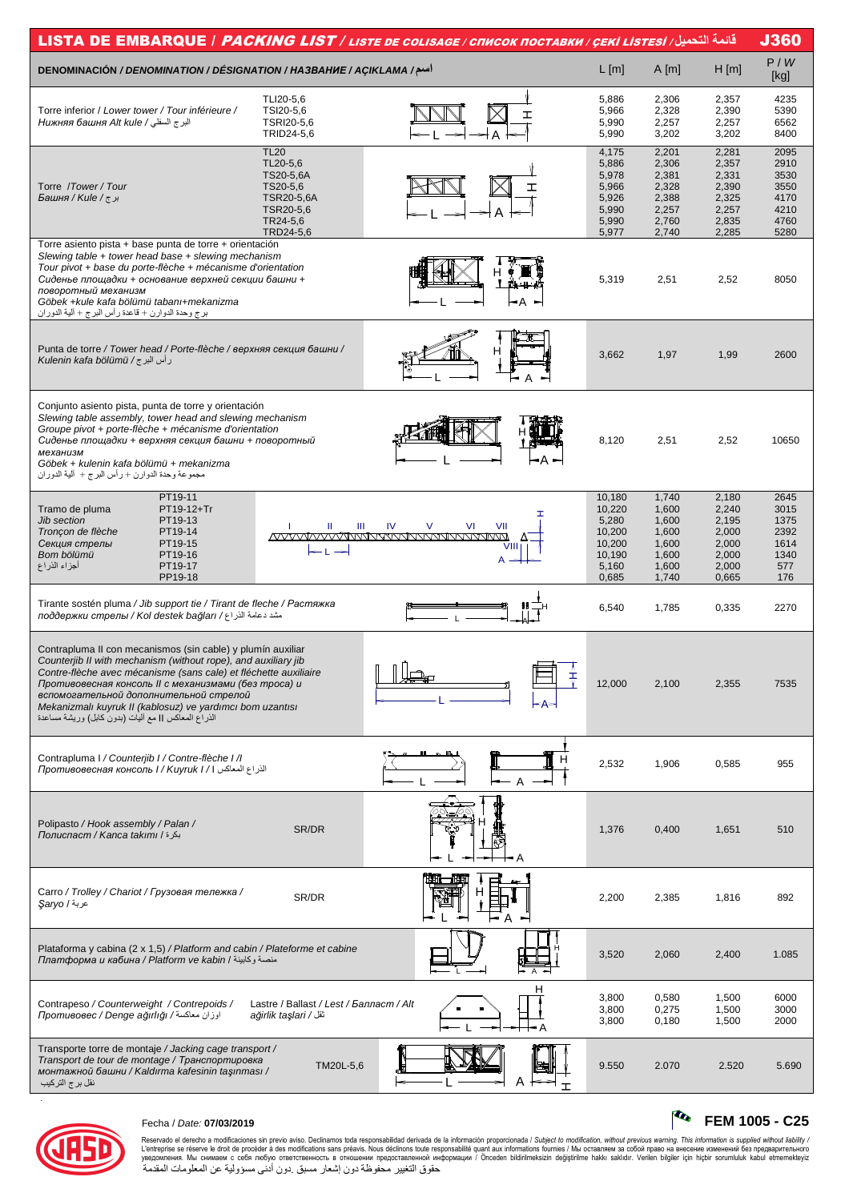| قائمة التحميل/ LISTA DE EMBARQUE / <i>PACKING LIST / LISTE DE COLISAGE / CПИСОК ПОСТАВКИ / ÇEKİ LISTESİ</i>                       |                                         |                                          |                 |                |                |              |  |  |  |  |
|-----------------------------------------------------------------------------------------------------------------------------------|-----------------------------------------|------------------------------------------|-----------------|----------------|----------------|--------------|--|--|--|--|
| <b>DENOMINACIÓN / DENOMINATION / DÉSIGNATION / HA3BAHUE / AÇIKLAMA /</b>                                                          |                                         |                                          | $L$ [m]         | $A$ [m]        | H[m]           | P/W<br>[kg]  |  |  |  |  |
|                                                                                                                                   | TLI20-5,6                               |                                          | 5,886           | 2,306          | 2,357          | 4235         |  |  |  |  |
| Torre inferior / Lower tower / Tour inférieure /                                                                                  | TSI20-5,6                               | ᆂ                                        | 5,966           | 2,328          | 2,390          | 5390         |  |  |  |  |
| البر ج السفلي / Нижняя башня Alt kule                                                                                             | TSRI20-5,6                              |                                          | 5,990           | 2,257          | 2,257          | 6562         |  |  |  |  |
|                                                                                                                                   | TRID24-5,6                              |                                          | 5,990           | 3,202          | 3,202          | 8400         |  |  |  |  |
|                                                                                                                                   | <b>TL20</b>                             |                                          | 4,175           | 2,201          | 2,281          | 2095         |  |  |  |  |
|                                                                                                                                   | TL20-5,6<br>TS20-5,6A                   |                                          | 5,886<br>5,978  | 2,306<br>2,381 | 2,357<br>2,331 | 2910<br>3530 |  |  |  |  |
| Torre /Tower/Tour                                                                                                                 | TS20-5,6                                |                                          | 5,966           | 2,328          | 2,390          | 3550         |  |  |  |  |
| برج/ Башня / Kule /                                                                                                               | TSR20-5,6A                              |                                          | 5,926           | 2,388          | 2,325          | 4170         |  |  |  |  |
|                                                                                                                                   | TSR20-5,6<br>TR24-5,6                   |                                          | 5,990<br>5,990  | 2,257<br>2,760 | 2,257<br>2,835 | 4210<br>4760 |  |  |  |  |
|                                                                                                                                   | TRD24-5,6                               |                                          | 5,977           | 2,740          | 2,285          | 5280         |  |  |  |  |
| Torre asiento pista + base punta de torre + orientación                                                                           |                                         |                                          |                 |                |                |              |  |  |  |  |
| Slewing table + tower head base + slewing mechanism                                                                               |                                         |                                          |                 |                |                |              |  |  |  |  |
| Tour pivot + base du porte-flèche + mécanisme d'orientation<br>Сиденье площадки + основание верхней секции башни +                |                                         |                                          | 5,319           | 2,51           | 2,52           | 8050         |  |  |  |  |
| поворотный механизм                                                                                                               |                                         |                                          |                 |                |                |              |  |  |  |  |
| Göbek +kule kafa bölümü tabanı+mekanizma                                                                                          |                                         | l— A                                     |                 |                |                |              |  |  |  |  |
| برج وحدة الدوارن + قاعدة ر أس البرج + ألية الدور ان                                                                               |                                         |                                          |                 |                |                |              |  |  |  |  |
|                                                                                                                                   |                                         |                                          |                 |                |                |              |  |  |  |  |
| Punta de torre / Tower head / Porte-flèche / верхняя секция башни /                                                               |                                         | н                                        | 3,662           | 1,97           | 1,99           | 2600         |  |  |  |  |
| رأس البرج / Kulenin kafa bölümü                                                                                                   |                                         |                                          |                 |                |                |              |  |  |  |  |
|                                                                                                                                   |                                         |                                          |                 |                |                |              |  |  |  |  |
|                                                                                                                                   |                                         |                                          |                 |                |                |              |  |  |  |  |
| Conjunto asiento pista, punta de torre y orientación                                                                              |                                         |                                          |                 |                |                |              |  |  |  |  |
| Slewing table assembly, tower head and slewing mechanism<br>Groupe pivot + porte-flèche + mécanisme d'orientation                 |                                         |                                          |                 |                |                |              |  |  |  |  |
| Сиденье площадки + верхняя секция башни + поворотный                                                                              |                                         |                                          | 8,120           | 2,51           | 2,52           | 10650        |  |  |  |  |
| механизм                                                                                                                          |                                         |                                          |                 |                |                |              |  |  |  |  |
| Göbek + kulenin kafa bölümü + mekanizma<br>مجموعة وحدة الدوارن + رأس البرج + ألية الدوران                                         |                                         |                                          |                 |                |                |              |  |  |  |  |
|                                                                                                                                   |                                         |                                          |                 |                |                |              |  |  |  |  |
| PT19-11                                                                                                                           |                                         |                                          | 10,180          | 1,740          | 2,180          | 2645         |  |  |  |  |
| Tramo de pluma<br>PT19-12+Tr<br>PT19-13<br><b>Jib section</b>                                                                     |                                         | T                                        | 10,220<br>5,280 | 1,600<br>1,600 | 2,240<br>2,195 | 3015<br>1375 |  |  |  |  |
| Tronçon de flèche<br>PT19-14                                                                                                      | Ш<br>Ш                                  | IV<br>$\vee$<br>VI<br>VII                | 10,200          | 1,600          | 2,000          | 2392         |  |  |  |  |
| PT19-15<br>Секция стрелы                                                                                                          |                                         |                                          | 10,200          | 1,600          | 2,000          | 1614         |  |  |  |  |
| Bom bölümü<br>PT19-16<br>أجزاء الذراع<br>PT19-17                                                                                  |                                         | A                                        | 10,190<br>5,160 | 1,600<br>1,600 | 2,000<br>2,000 | 1340<br>577  |  |  |  |  |
| PP19-18                                                                                                                           |                                         |                                          | 0,685           | 1,740          | 0,665          | 176          |  |  |  |  |
|                                                                                                                                   |                                         |                                          |                 |                |                |              |  |  |  |  |
| Tirante sostén pluma / Jib support tie / Tirant de fleche / Растяжка<br>مشد دعامة الذراع/ поддержки стрелы / Kol destek bağları / |                                         |                                          | 6,540           | 1,785          | 0,335          | 2270         |  |  |  |  |
|                                                                                                                                   |                                         |                                          |                 |                |                |              |  |  |  |  |
|                                                                                                                                   |                                         |                                          |                 |                |                |              |  |  |  |  |
| Contrapluma II con mecanismos (sin cable) y plumín auxiliar<br>Counterjib II with mechanism (without rope), and auxiliary jib     |                                         |                                          |                 |                |                |              |  |  |  |  |
| Contre-flèche avec mécanisme (sans cale) et fléchette auxiliaire                                                                  |                                         | $\mathbb{I}$ $\mathbb{I}$ $\mathbb{I}$ . |                 |                |                |              |  |  |  |  |
| Противовесная консоль II с механизмами (без mpoca) и                                                                              |                                         |                                          | 12,000          | 2,100          | 2,355          | 7535         |  |  |  |  |
| вспомогательной дополнительной стрелой<br>Mekanizmalı kuyruk II (kablosuz) ve yardımcı bom uzantısı                               |                                         |                                          |                 |                |                |              |  |  |  |  |
| الذراع المعاكس    مع أليات (بدون كابل) وريشة مساعدة                                                                               |                                         |                                          |                 |                |                |              |  |  |  |  |
|                                                                                                                                   |                                         |                                          |                 |                |                |              |  |  |  |  |
|                                                                                                                                   |                                         |                                          |                 |                |                |              |  |  |  |  |
| Contrapluma I / Counterjib I / Contre-flèche I / I                                                                                |                                         |                                          | 2,532           | 1,906          | 0,585          | 955          |  |  |  |  |
| الذراع المعاكس 1 / Противовесная консоль 1 / Киугик I                                                                             |                                         | $\overline{A}$                           |                 |                |                |              |  |  |  |  |
|                                                                                                                                   |                                         |                                          |                 |                |                |              |  |  |  |  |
|                                                                                                                                   |                                         |                                          |                 |                |                |              |  |  |  |  |
| Polipasto / Hook assembly / Palan /                                                                                               |                                         |                                          |                 |                |                |              |  |  |  |  |
| بكرة / Полиспаст / Kanca takımı                                                                                                   | SR/DR                                   |                                          | 1,376           | 0,400          | 1,651          | 510          |  |  |  |  |
|                                                                                                                                   |                                         |                                          |                 |                |                |              |  |  |  |  |
|                                                                                                                                   |                                         |                                          |                 |                |                |              |  |  |  |  |
|                                                                                                                                   |                                         |                                          |                 |                |                |              |  |  |  |  |
| Carro / Trolley / Chariot / Грузовая тележка /<br>عربة / Şaryo                                                                    | SR/DR                                   |                                          | 2,200           | 2,385          | 1,816          | 892          |  |  |  |  |
|                                                                                                                                   |                                         |                                          |                 |                |                |              |  |  |  |  |
|                                                                                                                                   |                                         |                                          |                 |                |                |              |  |  |  |  |
| Plataforma y cabina (2 x 1,5) / Platform and cabin / Plateforme et cabine                                                         |                                         |                                          |                 |                |                |              |  |  |  |  |
| ллатформа и кабина / Platform ve kabin / منصة وكابينة                                                                             |                                         |                                          | 3,520           | 2,060          | 2,400          | 1.085        |  |  |  |  |
|                                                                                                                                   |                                         |                                          |                 |                |                |              |  |  |  |  |
|                                                                                                                                   |                                         | н                                        |                 |                |                |              |  |  |  |  |
| Contrapeso / Counterweight / Contrepoids /                                                                                        | Lastre / Ballast / Lest / Балласт / Alt |                                          | 3,800<br>3,800  | 0,580<br>0,275 | 1,500<br>1,500 | 6000<br>3000 |  |  |  |  |
| اوزان معاكسة/ Mpomusosec / Denge ağırlığı                                                                                         | ağirlik taşlari / ثقل                   |                                          | 3,800           | 0,180          | 1,500          | 2000         |  |  |  |  |
|                                                                                                                                   |                                         |                                          |                 |                |                |              |  |  |  |  |
| Transporte torre de montaje / Jacking cage transport /                                                                            |                                         |                                          |                 |                |                |              |  |  |  |  |
| Transport de tour de montage / Транспортировка<br>монтажной башни / Kaldırma kafesinin taşınması /                                | TM20L-5,6                               |                                          | 9.550           | 2.070          | 2.520          | 5.690        |  |  |  |  |
| نقل برج التركيب                                                                                                                   |                                         |                                          |                 |                |                |              |  |  |  |  |
|                                                                                                                                   |                                         |                                          |                 |                |                |              |  |  |  |  |



## Fecha / Date: **07/03/2019 FEM 1005 - C25**

Reservado el derecho a modificaciones sin previo aviso. Declinamos toda responsabilidad derivada de la información proporcionada / Subjec*t to modification, without previous warning. This information is supplied without*